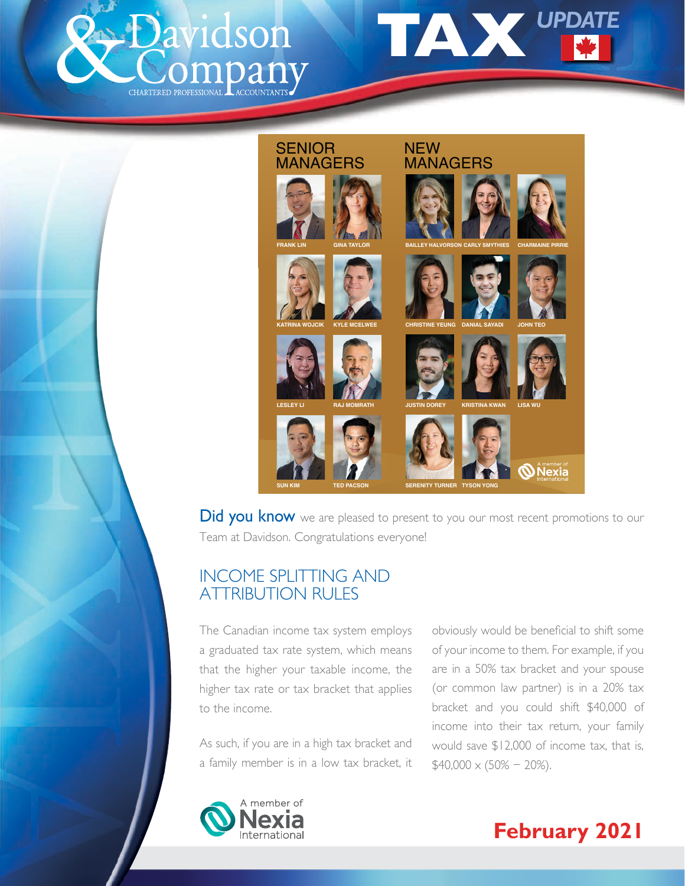





Did you know we are pleased to present to you our most recent promotions to our Team at Davidson. Congratulations everyone!

# INCOME SPLITTING AND ATTRIBUTION RULES

The Canadian income tax system employs a graduated tax rate system, which means that the higher your taxable income, the higher tax rate or tax bracket that applies to the income.

As such, if you are in a high tax bracket and a family member is in a low tax bracket, it obviously would be beneficial to shift some of your income to them. For example, if you are in a 50% tax bracket and your spouse (or common law partner) is in a 20% tax bracket and you could shift \$40,000 of income into their tax return, your family would save \$12,000 of income tax, that is,  $$40,000 \times (50\% - 20\%).$ 



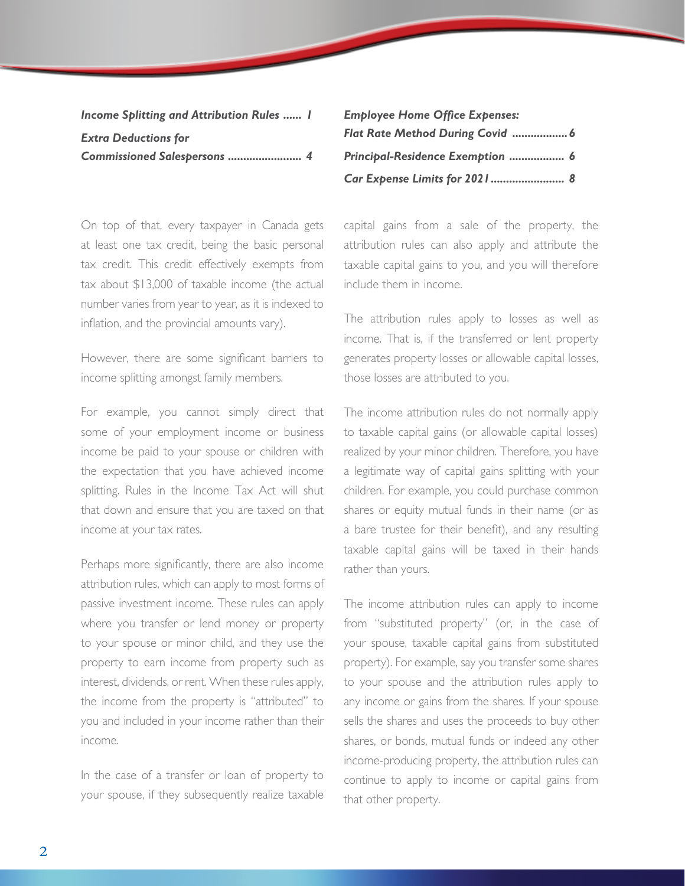| <b>Income Splitting and Attribution Rules  I</b> |  |
|--------------------------------------------------|--|
| <b>Extra Deductions for</b>                      |  |
| Commissioned Salespersons  4                     |  |

On top of that, every taxpayer in Canada gets at least one tax credit, being the basic personal tax credit. This credit effectively exempts from tax about \$13,000 of taxable income (the actual number varies from year to year, as it is indexed to inflation, and the provincial amounts vary).

However, there are some significant barriers to income splitting amongst family members.

For example, you cannot simply direct that some of your employment income or business income be paid to your spouse or children with the expectation that you have achieved income splitting. Rules in the Income Tax Act will shut that down and ensure that you are taxed on that income at your tax rates.

Perhaps more significantly, there are also income attribution rules, which can apply to most forms of passive investment income. These rules can apply where you transfer or lend money or property to your spouse or minor child, and they use the property to earn income from property such as interest, dividends, or rent. When these rules apply, the income from the property is "attributed" to you and included in your income rather than their income.

In the case of a transfer or loan of property to your spouse, if they subsequently realize taxable

| <b>Employee Home Office Expenses:</b> |  |
|---------------------------------------|--|
|                                       |  |
| Principal-Residence Exemption  6      |  |
| Car Expense Limits for 2021 8         |  |

capital gains from a sale of the property, the attribution rules can also apply and attribute the taxable capital gains to you, and you will therefore include them in income.

The attribution rules apply to losses as well as income. That is, if the transferred or lent property generates property losses or allowable capital losses, those losses are attributed to you.

The income attribution rules do not normally apply to taxable capital gains (or allowable capital losses) realized by your minor children. Therefore, you have a legitimate way of capital gains splitting with your children. For example, you could purchase common shares or equity mutual funds in their name (or as a bare trustee for their benefit), and any resulting taxable capital gains will be taxed in their hands rather than yours.

The income attribution rules can apply to income from "substituted property" (or, in the case of your spouse, taxable capital gains from substituted property). For example, say you transfer some shares to your spouse and the attribution rules apply to any income or gains from the shares. If your spouse sells the shares and uses the proceeds to buy other shares, or bonds, mutual funds or indeed any other income-producing property, the attribution rules can continue to apply to income or capital gains from that other property.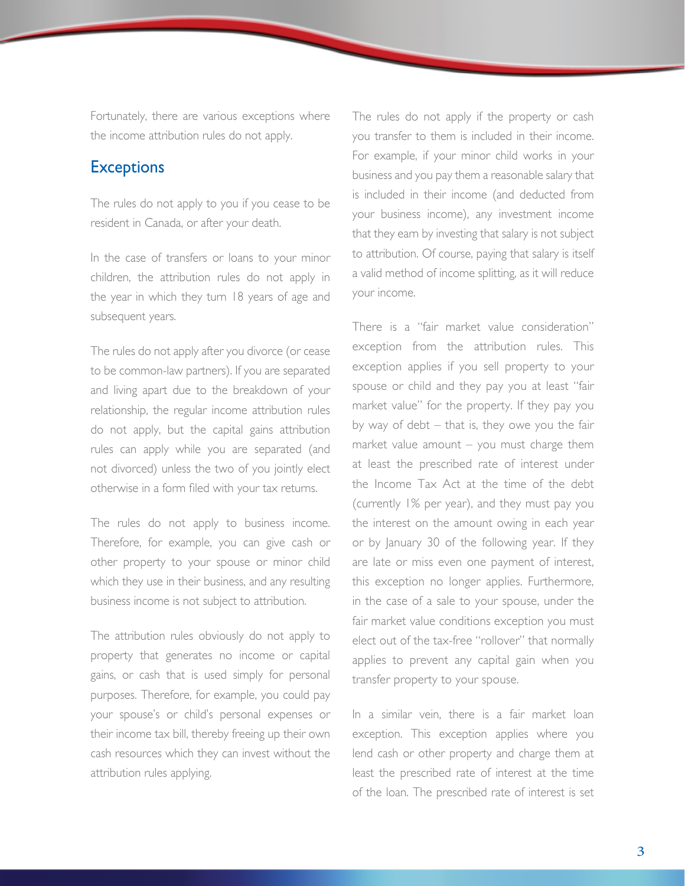Fortunately, there are various exceptions where the income attribution rules do not apply.

#### **Exceptions**

The rules do not apply to you if you cease to be resident in Canada, or after your death.

In the case of transfers or loans to your minor children, the attribution rules do not apply in the year in which they turn 18 years of age and subsequent years.

The rules do not apply after you divorce (or cease to be common-law partners). If you are separated and living apart due to the breakdown of your relationship, the regular income attribution rules do not apply, but the capital gains attribution rules can apply while you are separated (and not divorced) unless the two of you jointly elect otherwise in a form filed with your tax returns.

The rules do not apply to business income. Therefore, for example, you can give cash or other property to your spouse or minor child which they use in their business, and any resulting business income is not subject to attribution.

The attribution rules obviously do not apply to property that generates no income or capital gains, or cash that is used simply for personal purposes. Therefore, for example, you could pay your spouse's or child's personal expenses or their income tax bill, thereby freeing up their own cash resources which they can invest without the attribution rules applying.

The rules do not apply if the property or cash you transfer to them is included in their income. For example, if your minor child works in your business and you pay them a reasonable salary that is included in their income (and deducted from your business income), any investment income that they earn by investing that salary is not subject to attribution. Of course, paying that salary is itself a valid method of income splitting, as it will reduce your income.

There is a "fair market value consideration" exception from the attribution rules. This exception applies if you sell property to your spouse or child and they pay you at least "fair market value" for the property. If they pay you by way of debt – that is, they owe you the fair market value amount – you must charge them at least the prescribed rate of interest under the Income Tax Act at the time of the debt (currently 1% per year), and they must pay you the interest on the amount owing in each year or by January 30 of the following year. If they are late or miss even one payment of interest, this exception no longer applies. Furthermore, in the case of a sale to your spouse, under the fair market value conditions exception you must elect out of the tax-free "rollover" that normally applies to prevent any capital gain when you transfer property to your spouse.

In a similar vein, there is a fair market loan exception. This exception applies where you lend cash or other property and charge them at least the prescribed rate of interest at the time of the loan. The prescribed rate of interest is set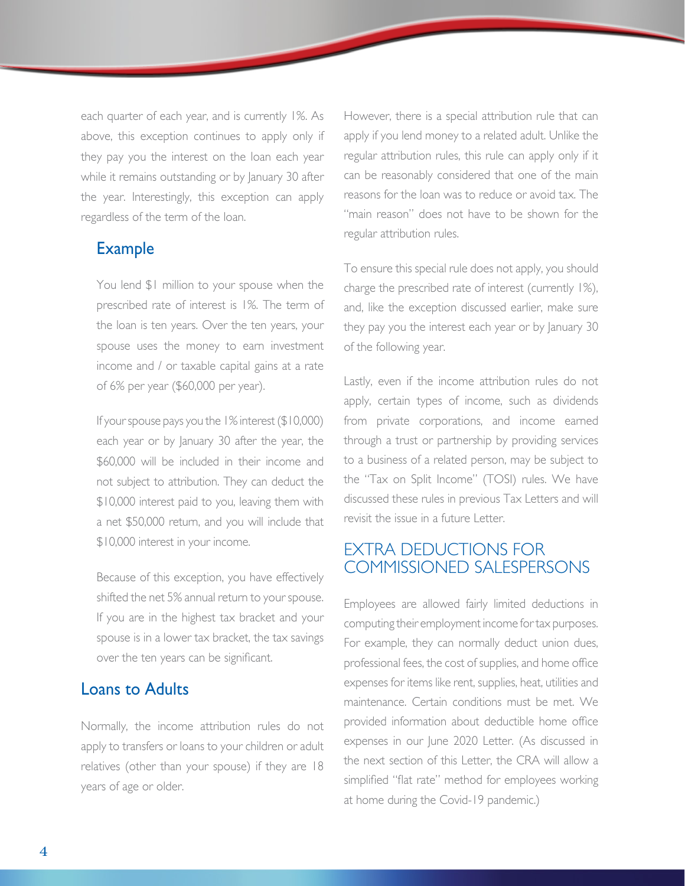each quarter of each year, and is currently 1%. As above, this exception continues to apply only if they pay you the interest on the loan each year while it remains outstanding or by January 30 after the year. Interestingly, this exception can apply regardless of the term of the loan.

#### Example

You lend \$1 million to your spouse when the prescribed rate of interest is 1%. The term of the loan is ten years. Over the ten years, your spouse uses the money to earn investment income and / or taxable capital gains at a rate of 6% per year (\$60,000 per year).

 If your spouse pays you the 1% interest (\$10,000) each year or by January 30 after the year, the \$60,000 will be included in their income and not subject to attribution. They can deduct the \$10,000 interest paid to you, leaving them with a net \$50,000 return, and you will include that \$10,000 interest in your income.

 Because of this exception, you have effectively shifted the net 5% annual return to your spouse. If you are in the highest tax bracket and your spouse is in a lower tax bracket, the tax savings over the ten years can be significant.

#### Loans to Adults

Normally, the income attribution rules do not apply to transfers or loans to your children or adult relatives (other than your spouse) if they are 18 years of age or older.

However, there is a special attribution rule that can apply if you lend money to a related adult. Unlike the regular attribution rules, this rule can apply only if it can be reasonably considered that one of the main reasons for the loan was to reduce or avoid tax. The "main reason" does not have to be shown for the regular attribution rules.

To ensure this special rule does not apply, you should charge the prescribed rate of interest (currently 1%), and, like the exception discussed earlier, make sure they pay you the interest each year or by January 30 of the following year.

Lastly, even if the income attribution rules do not apply, certain types of income, such as dividends from private corporations, and income earned through a trust or partnership by providing services to a business of a related person, may be subject to the "Tax on Split Income" (TOSI) rules. We have discussed these rules in previous Tax Letters and will revisit the issue in a future Letter.

# EXTRA DEDUCTIONS FOR COMMISSIONED SALESPERSONS

Employees are allowed fairly limited deductions in computing their employment income for tax purposes. For example, they can normally deduct union dues, professional fees, the cost of supplies, and home office expenses for items like rent, supplies, heat, utilities and maintenance. Certain conditions must be met. We provided information about deductible home office expenses in our June 2020 Letter. (As discussed in the next section of this Letter, the CRA will allow a simplified "flat rate" method for employees working at home during the Covid-19 pandemic.)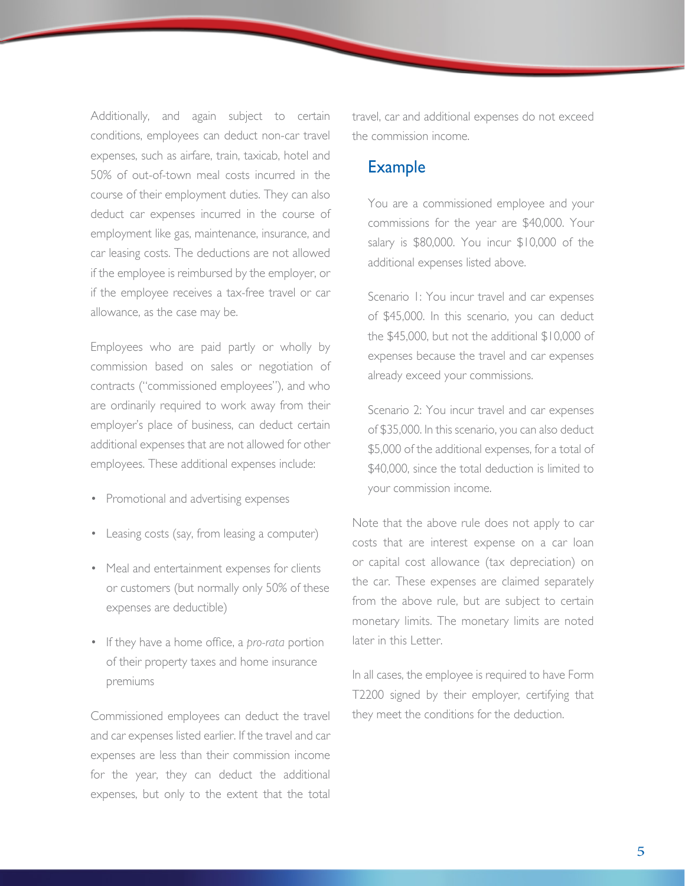Additionally, and again subject to certain conditions, employees can deduct non-car travel expenses, such as airfare, train, taxicab, hotel and 50% of out-of-town meal costs incurred in the course of their employment duties. They can also deduct car expenses incurred in the course of employment like gas, maintenance, insurance, and car leasing costs. The deductions are not allowed if the employee is reimbursed by the employer, or if the employee receives a tax-free travel or car allowance, as the case may be.

Employees who are paid partly or wholly by commission based on sales or negotiation of contracts ("commissioned employees"), and who are ordinarily required to work away from their employer's place of business, can deduct certain additional expenses that are not allowed for other employees. These additional expenses include:

- Promotional and advertising expenses
- Leasing costs (say, from leasing a computer)
- Meal and entertainment expenses for clients or customers (but normally only 50% of these expenses are deductible)
- If they have a home office, a *pro-rata* portion of their property taxes and home insurance premiums

Commissioned employees can deduct the travel and car expenses listed earlier. If the travel and car expenses are less than their commission income for the year, they can deduct the additional expenses, but only to the extent that the total travel, car and additional expenses do not exceed the commission income.

## Example

 You are a commissioned employee and your commissions for the year are \$40,000. Your salary is \$80,000. You incur \$10,000 of the additional expenses listed above.

 Scenario 1: You incur travel and car expenses of \$45,000. In this scenario, you can deduct the \$45,000, but not the additional \$10,000 of expenses because the travel and car expenses already exceed your commissions.

 Scenario 2: You incur travel and car expenses of \$35,000. In this scenario, you can also deduct \$5,000 of the additional expenses, for a total of \$40,000, since the total deduction is limited to your commission income.

Note that the above rule does not apply to car costs that are interest expense on a car loan or capital cost allowance (tax depreciation) on the car. These expenses are claimed separately from the above rule, but are subject to certain monetary limits. The monetary limits are noted later in this Letter.

In all cases, the employee is required to have Form T2200 signed by their employer, certifying that they meet the conditions for the deduction.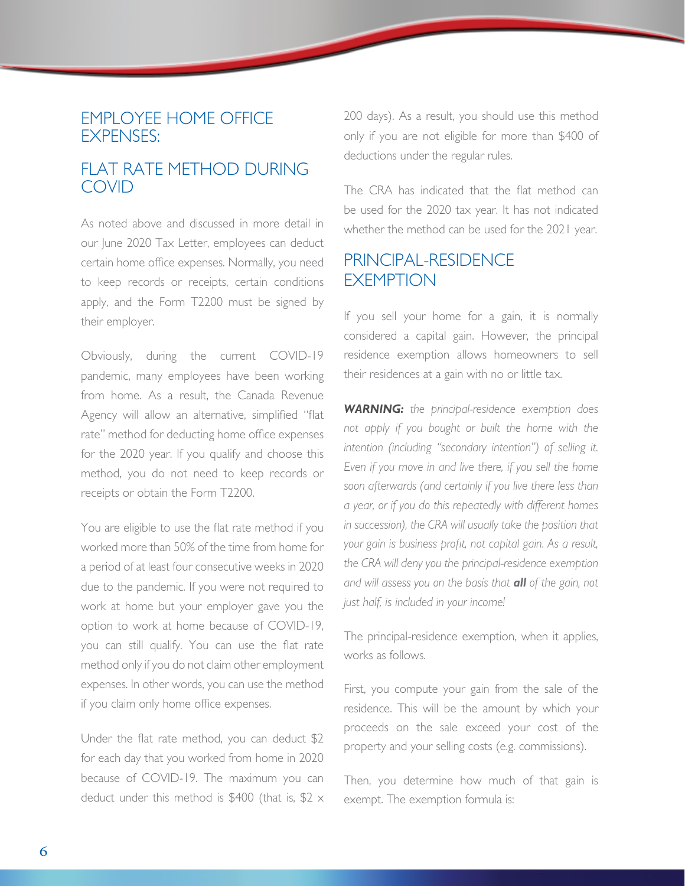#### EMPLOYEE HOME OFFICE EXPENSES:

# FLAT RATE METHOD DURING COVID

As noted above and discussed in more detail in our June 2020 Tax Letter, employees can deduct certain home office expenses. Normally, you need to keep records or receipts, certain conditions apply, and the Form T2200 must be signed by their employer.

Obviously, during the current COVID-19 pandemic, many employees have been working from home. As a result, the Canada Revenue Agency will allow an alternative, simplified "flat rate" method for deducting home office expenses for the 2020 year. If you qualify and choose this method, you do not need to keep records or receipts or obtain the Form T2200.

You are eligible to use the flat rate method if you worked more than 50% of the time from home for a period of at least four consecutive weeks in 2020 due to the pandemic. If you were not required to work at home but your employer gave you the option to work at home because of COVID-19, you can still qualify. You can use the flat rate method only if you do not claim other employment expenses. In other words, you can use the method if you claim only home office expenses.

Under the flat rate method, you can deduct \$2 for each day that you worked from home in 2020 because of COVID-19. The maximum you can deduct under this method is \$400 (that is, \$2  $\times$ 

200 days). As a result, you should use this method only if you are not eligible for more than \$400 of deductions under the regular rules.

The CRA has indicated that the flat method can be used for the 2020 tax year. It has not indicated whether the method can be used for the 2021 year.

# PRINCIPAL-RESIDENCE *EXEMPTION*

If you sell your home for a gain, it is normally considered a capital gain. However, the principal residence exemption allows homeowners to sell their residences at a gain with no or little tax.

*WARNING: the principal-residence exemption does not apply if you bought or built the home with the intention (including "secondary intention") of selling it. Even if you move in and live there, if you sell the home soon afterwards (and certainly if you live there less than a year, or if you do this repeatedly with different homes in succession), the CRA will usually take the position that your gain is business profit, not capital gain. As a result, the CRA will deny you the principal-residence exemption and will assess you on the basis that all of the gain, not just half, is included in your income!*

The principal-residence exemption, when it applies, works as follows.

First, you compute your gain from the sale of the residence. This will be the amount by which your proceeds on the sale exceed your cost of the property and your selling costs (e.g. commissions).

Then, you determine how much of that gain is exempt. The exemption formula is: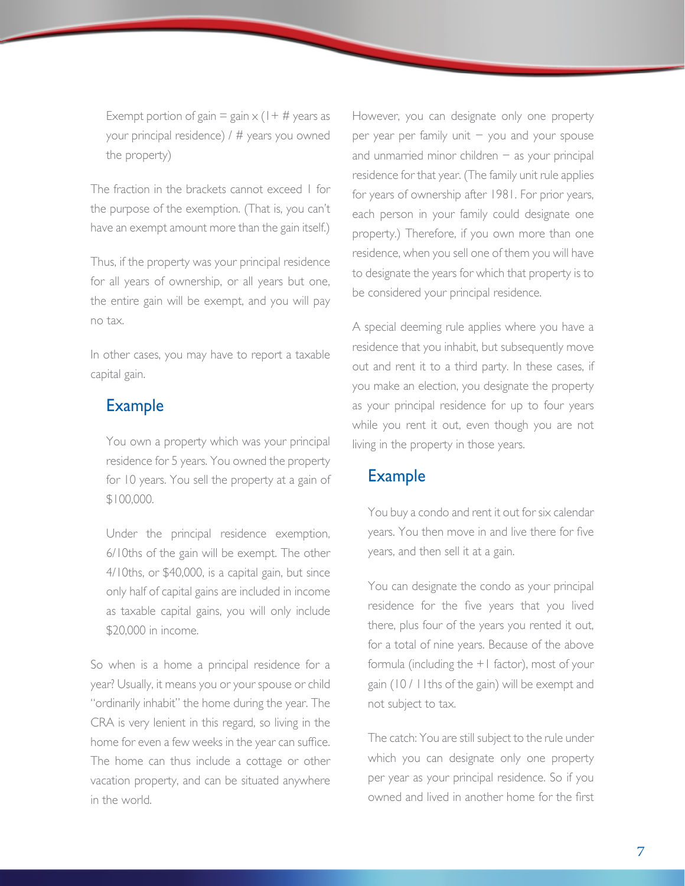Exempt portion of gain = gain  $\times$  (1+ # years as your principal residence) / # years you owned the property)

The fraction in the brackets cannot exceed 1 for the purpose of the exemption. (That is, you can't have an exempt amount more than the gain itself.)

Thus, if the property was your principal residence for all years of ownership, or all years but one, the entire gain will be exempt, and you will pay no tax.

In other cases, you may have to report a taxable capital gain.

## Example

 You own a property which was your principal residence for 5 years. You owned the property for 10 years. You sell the property at a gain of \$100,000.

 Under the principal residence exemption, 6/10ths of the gain will be exempt. The other 4/10ths, or \$40,000, is a capital gain, but since only half of capital gains are included in income as taxable capital gains, you will only include \$20,000 in income.

So when is a home a principal residence for a year? Usually, it means you or your spouse or child "ordinarily inhabit" the home during the year. The CRA is very lenient in this regard, so living in the home for even a few weeks in the year can suffice. The home can thus include a cottage or other vacation property, and can be situated anywhere in the world.

However, you can designate only one property per year per family unit − you and your spouse and unmarried minor children  $-$  as your principal residence for that year. (The family unit rule applies for years of ownership after 1981. For prior years, each person in your family could designate one property.) Therefore, if you own more than one residence, when you sell one of them you will have to designate the years for which that property is to be considered your principal residence.

A special deeming rule applies where you have a residence that you inhabit, but subsequently move out and rent it to a third party. In these cases, if you make an election, you designate the property as your principal residence for up to four years while you rent it out, even though you are not living in the property in those years.

#### **Example**

 You buy a condo and rent it out for six calendar years. You then move in and live there for five years, and then sell it at a gain.

 You can designate the condo as your principal residence for the five years that you lived there, plus four of the years you rented it out, for a total of nine years. Because of the above formula (including the +1 factor), most of your gain (10 / 11ths of the gain) will be exempt and not subject to tax.

 The catch: You are still subject to the rule under which you can designate only one property per year as your principal residence. So if you owned and lived in another home for the first